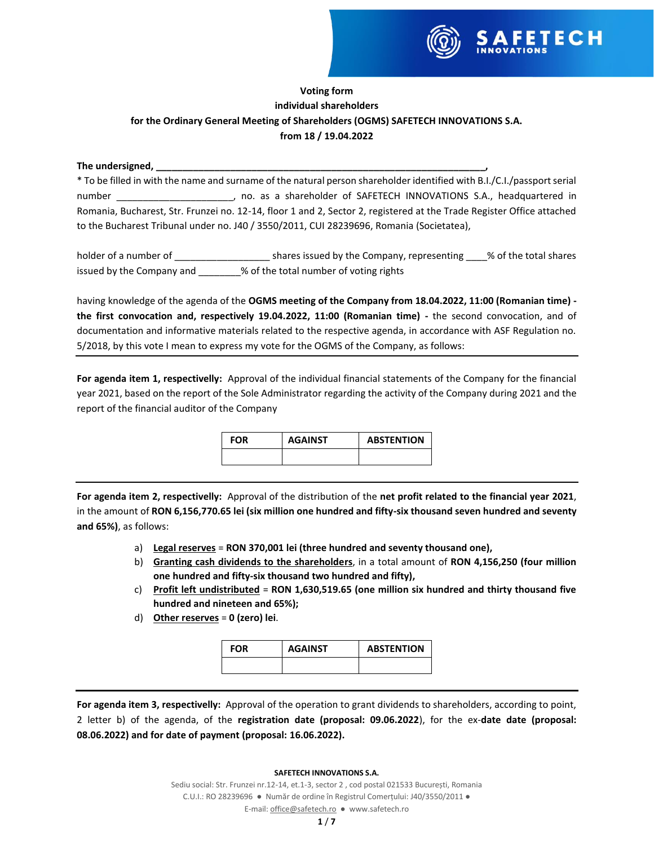

# **Voting form individual shareholders for the Ordinary General Meeting of Shareholders (OGMS) SAFETECH INNOVATIONS S.A. from 18 / 19.04.2022**

### The undersigned,

\* To be filled in with the name and surname of the natural person shareholder identified with B.I./C.I./passport serial number \_\_\_\_\_\_\_\_\_\_\_\_\_\_\_\_\_\_\_\_\_\_, no. as a shareholder of SAFETECH INNOVATIONS S.A., headquartered in Romania, Bucharest, Str. Frunzei no. 12-14, floor 1 and 2, Sector 2, registered at the Trade Register Office attached to the Bucharest Tribunal under no. J40 / 3550/2011, CUI 28239696, Romania (Societatea),

holder of a number of \_\_\_\_\_\_\_\_\_\_\_\_\_\_\_\_\_\_\_\_\_\_\_\_\_\_ shares issued by the Company, representing \_\_\_\_% of the total shares issued by the Company and  $\sim$  % of the total number of voting rights

having knowledge of the agenda of the **OGMS meeting of the Company from 18.04.2022, 11:00 (Romanian time) the first convocation and, respectively 19.04.2022, 11:00 (Romanian time) -** the second convocation, and of documentation and informative materials related to the respective agenda, in accordance with ASF Regulation no. 5/2018, by this vote I mean to express my vote for the OGMS of the Company, as follows:

**For agenda item 1, respectivelly:** Approval of the individual financial statements of the Company for the financial year 2021, based on the report of the Sole Administrator regarding the activity of the Company during 2021 and the report of the financial auditor of the Company

| <b>FOR</b> | <b>AGAINST</b> | <b>ABSTENTION</b> |
|------------|----------------|-------------------|
|            |                |                   |

**For agenda item 2, respectivelly:** Approval of the distribution of the **net profit related to the financial year 2021**, in the amount of **RON 6,156,770.65 lei (six million one hundred and fifty-six thousand seven hundred and seventy and 65%)**, as follows:

- a) **Legal reserves** = **RON 370,001 lei (three hundred and seventy thousand one),**
- b) **Granting cash dividends to the shareholders**, in a total amount of **RON 4,156,250 (four million one hundred and fifty-six thousand two hundred and fifty),**
- c) **Profit left undistributed** = **RON 1,630,519.65 (one million six hundred and thirty thousand five hundred and nineteen and 65%);**
- d) **Other reserves** = **0 (zero) lei**.

| <b>FOR</b> | <b>AGAINST</b> | <b>ABSTENTION</b> |
|------------|----------------|-------------------|
|            |                |                   |

**For agenda item 3, respectivelly:** Approval of the operation to grant dividends to shareholders, according to point, 2 letter b) of the agenda, of the **registration date (proposal: 09.06.2022**), for the ex-**date date (proposal: 08.06.2022) and for date of payment (proposal: 16.06.2022).**

#### **SAFETECH INNOVATIONS S.A.**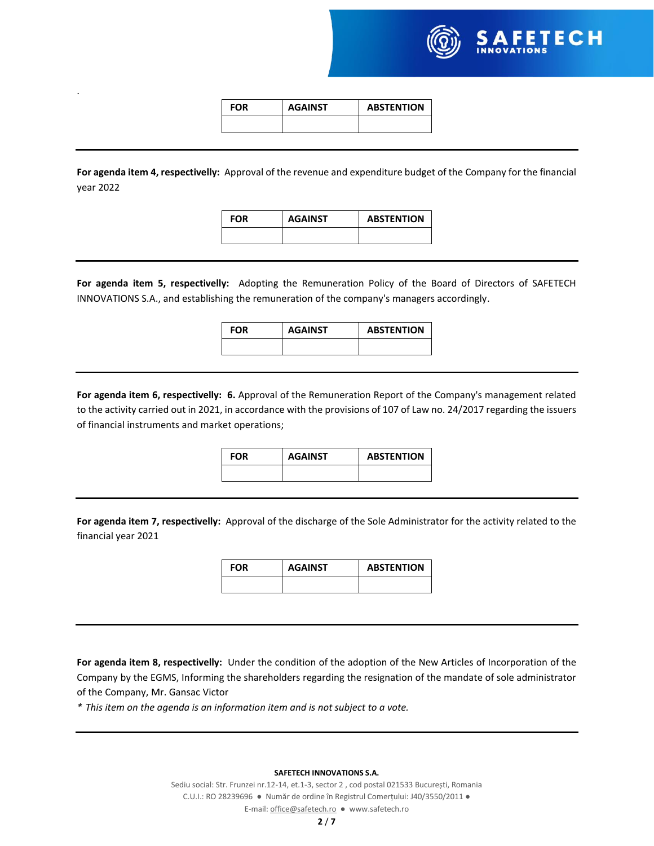

| FOR | <b>AGAINST</b> | <b>ABSTENTION</b> |
|-----|----------------|-------------------|
|     |                |                   |

.

**For agenda item 4, respectivelly:** Approval of the revenue and expenditure budget of the Company for the financial year 2022

| FOR | <b>AGAINST</b> | <b>ABSTENTION</b> |
|-----|----------------|-------------------|
|     |                |                   |

**For agenda item 5, respectivelly:** Adopting the Remuneration Policy of the Board of Directors of SAFETECH INNOVATIONS S.A., and establishing the remuneration of the company's managers accordingly.

**FOR AGAINST ABSTENTION**

**For agenda item 6, respectivelly: 6.** Approval of the Remuneration Report of the Company's management related to the activity carried out in 2021, in accordance with the provisions of 107 of Law no. 24/2017 regarding the issuers of financial instruments and market operations;

| <b>FOR</b> | <b>AGAINST</b> | <b>ABSTENTION</b> |
|------------|----------------|-------------------|
|            |                |                   |

**For agenda item 7, respectivelly:** Approval of the discharge of the Sole Administrator for the activity related to the financial year 2021

| <b>FOR</b> | <b>AGAINST</b> | <b>ABSTENTION</b> |
|------------|----------------|-------------------|
|            |                |                   |

**For agenda item 8, respectivelly:** Under the condition of the adoption of the New Articles of Incorporation of the Company by the EGMS, Informing the shareholders regarding the resignation of the mandate of sole administrator of the Company, Mr. Gansac Victor

*\* This item on the agenda is an information item and is not subject to a vote.*

**SAFETECH INNOVATIONS S.A.**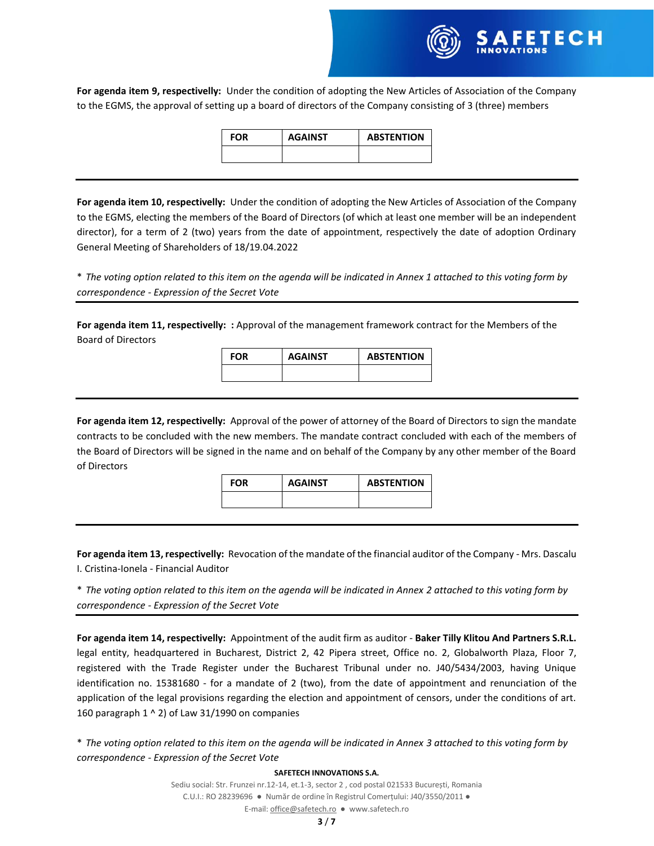

| <b>FOR</b> | <b>AGAINST</b> | <b>ABSTENTION</b> |
|------------|----------------|-------------------|
|            |                |                   |

**For agenda item 10, respectivelly:** Under the condition of adopting the New Articles of Association of the Company to the EGMS, electing the members of the Board of Directors (of which at least one member will be an independent director), for a term of 2 (two) years from the date of appointment, respectively the date of adoption Ordinary General Meeting of Shareholders of 18/19.04.2022

\* *The voting option related to this item on the agenda will be indicated in Annex 1 attached to this voting form by correspondence - Expression of the Secret Vote*

**For agenda item 11, respectivelly: :** Approval of the management framework contract for the Members of the Board of Directors

| <b>FOR</b> | <b>AGAINST</b> | <b>ABSTENTION</b> |
|------------|----------------|-------------------|
|            |                |                   |

**For agenda item 12, respectivelly:** Approval of the power of attorney of the Board of Directors to sign the mandate contracts to be concluded with the new members. The mandate contract concluded with each of the members of the Board of Directors will be signed in the name and on behalf of the Company by any other member of the Board of Directors

| <b>FOR</b> | <b>AGAINST</b> | <b>ABSTENTION</b> |
|------------|----------------|-------------------|
|            |                |                   |

**For agenda item 13, respectivelly:** Revocation of the mandate of the financial auditor of the Company - Mrs. Dascalu I. Cristina-Ionela - Financial Auditor

\* *The voting option related to this item on the agenda will be indicated in Annex 2 attached to this voting form by correspondence - Expression of the Secret Vote*

**For agenda item 14, respectivelly:** Appointment of the audit firm as auditor - **Baker Tilly Klitou And Partners S.R.L.** legal entity, headquartered in Bucharest, District 2, 42 Pipera street, Office no. 2, Globalworth Plaza, Floor 7, registered with the Trade Register under the Bucharest Tribunal under no. J40/5434/2003, having Unique identification no. 15381680 - for a mandate of 2 (two), from the date of appointment and renunciation of the application of the legal provisions regarding the election and appointment of censors, under the conditions of art. 160 paragraph  $1 \wedge 2$ ) of Law 31/1990 on companies

\* *The voting option related to this item on the agenda will be indicated in Annex 3 attached to this voting form by correspondence - Expression of the Secret Vote*

#### **SAFETECH INNOVATIONS S.A.**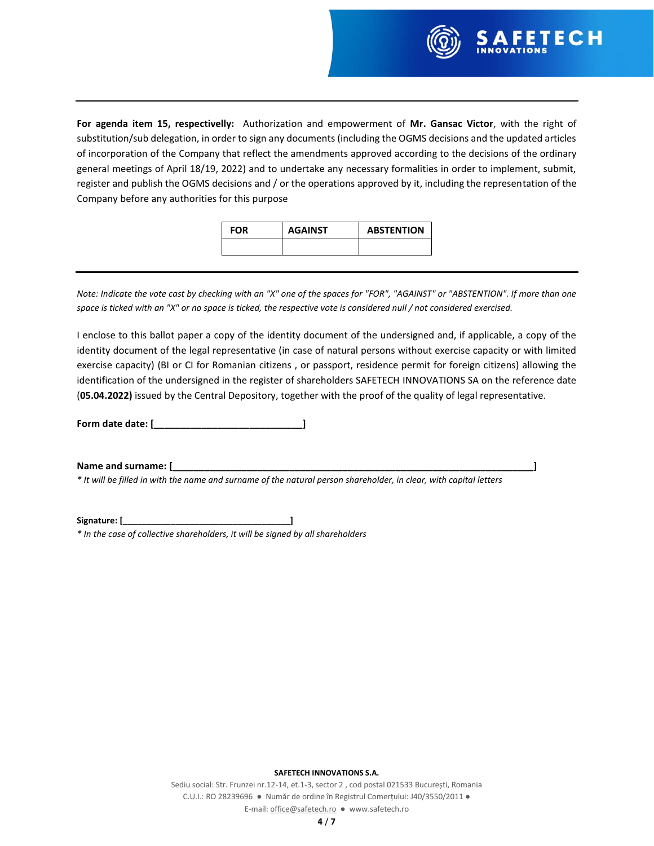

**For agenda item 15, respectivelly:** Authorization and empowerment of **Mr. Gansac Victor**, with the right of substitution/sub delegation, in order to sign any documents (including the OGMS decisions and the updated articles of incorporation of the Company that reflect the amendments approved according to the decisions of the ordinary general meetings of April 18/19, 2022) and to undertake any necessary formalities in order to implement, submit, register and publish the OGMS decisions and / or the operations approved by it, including the representation of the Company before any authorities for this purpose

| <b>FOR</b> | <b>AGAINST</b> | <b>ABSTENTION</b> |
|------------|----------------|-------------------|
|            |                |                   |

*Note: Indicate the vote cast by checking with an "X" one of the spaces for "FOR", "AGAINST" or "ABSTENTION". If more than one space is ticked with an "X" or no space is ticked, the respective vote is considered null / not considered exercised.*

I enclose to this ballot paper a copy of the identity document of the undersigned and, if applicable, a copy of the identity document of the legal representative (in case of natural persons without exercise capacity or with limited exercise capacity) (BI or CI for Romanian citizens , or passport, residence permit for foreign citizens) allowing the identification of the undersigned in the register of shareholders SAFETECH INNOVATIONS SA on the reference date (**05.04.2022)** issued by the Central Depository, together with the proof of the quality of legal representative.

**Form date date: [\_\_\_\_\_\_\_\_\_\_\_\_\_\_\_\_\_\_\_\_\_\_\_\_\_\_\_\_]**

**Name and surname: [\_\_\_\_\_\_\_\_\_\_\_\_\_\_\_\_\_\_\_\_\_\_\_\_\_\_\_\_\_\_\_\_\_\_\_\_\_\_\_\_\_\_\_\_\_\_\_\_\_\_\_\_\_\_\_\_\_\_\_\_\_\_\_\_\_\_\_\_]**

*\* It will be filled in with the name and surname of the natural person shareholder, in clear, with capital letters*

**Signature: [\_\_\_\_\_\_\_\_\_\_\_\_\_\_\_\_\_\_\_\_\_\_\_\_\_\_\_\_\_\_\_\_\_\_\_]** *\* In the case of collective shareholders, it will be signed by all shareholders*

**SAFETECH INNOVATIONS S.A.**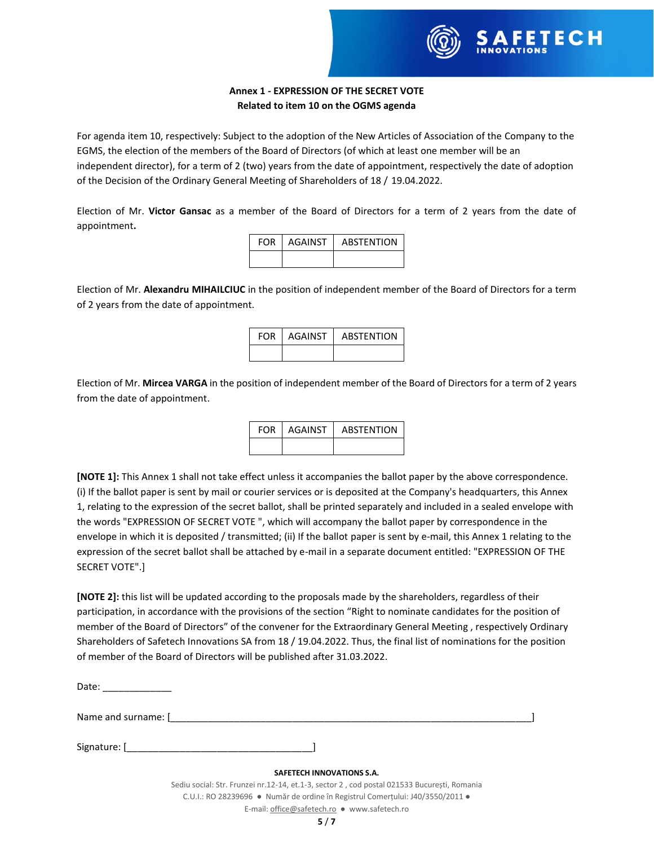

# **Annex 1 - EXPRESSION OF THE SECRET VOTE Related to item 10 on the OGMS agenda**

For agenda item 10, respectively: Subject to the adoption of the New Articles of Association of the Company to the EGMS, the election of the members of the Board of Directors (of which at least one member will be an independent director), for a term of 2 (two) years from the date of appointment, respectively the date of adoption of the Decision of the Ordinary General Meeting of Shareholders of 18 / 19.04.2022.

Election of Mr. **Victor Gansac** as a member of the Board of Directors for a term of 2 years from the date of appointment**.**

| <b>FOR</b> | l AGAINST | <b>ABSTENTION</b> |
|------------|-----------|-------------------|
|            |           |                   |

Election of Mr. **Alexandru MIHAILCIUC** in the position of independent member of the Board of Directors for a term of 2 years from the date of appointment.

| FOR. | <b>AGAINST</b> | <b>ABSTENTION</b> |
|------|----------------|-------------------|
|      |                |                   |

Election of Mr. **Mircea VARGA** in the position of independent member of the Board of Directors for a term of 2 years from the date of appointment.

| <b>FOR</b> | AGAINST | <b>ABSTENTION</b> |
|------------|---------|-------------------|
|            |         |                   |

**[NOTE 1]:** This Annex 1 shall not take effect unless it accompanies the ballot paper by the above correspondence. (i) If the ballot paper is sent by mail or courier services or is deposited at the Company's headquarters, this Annex 1, relating to the expression of the secret ballot, shall be printed separately and included in a sealed envelope with the words "EXPRESSION OF SECRET VOTE ", which will accompany the ballot paper by correspondence in the envelope in which it is deposited / transmitted; (ii) If the ballot paper is sent by e-mail, this Annex 1 relating to the expression of the secret ballot shall be attached by e-mail in a separate document entitled: "EXPRESSION OF THE SECRET VOTE".]

**[NOTE 2]:** this list will be updated according to the proposals made by the shareholders, regardless of their participation, in accordance with the provisions of the section "Right to nominate candidates for the position of member of the Board of Directors" of the convener for the Extraordinary General Meeting , respectively Ordinary Shareholders of Safetech Innovations SA from 18 / 19.04.2022. Thus, the final list of nominations for the position of member of the Board of Directors will be published after 31.03.2022.

| Date:               |                                                                                             |  |  |
|---------------------|---------------------------------------------------------------------------------------------|--|--|
| Name and surname: [ |                                                                                             |  |  |
|                     | Signature: [www.communications.com/                                                         |  |  |
|                     | <b>SAFETECH INNOVATIONS S.A.</b>                                                            |  |  |
|                     | Sediu social: Str. Frunzei nr.12-14, et.1-3, sector 2, cod postal 021533 București, Romania |  |  |
|                     | C.U.I.: RO 28239696 · Număr de ordine în Registrul Comertului: J40/3550/2011 ·              |  |  |
|                     | E-mail: office@safetech.ro ● www.safetech.ro                                                |  |  |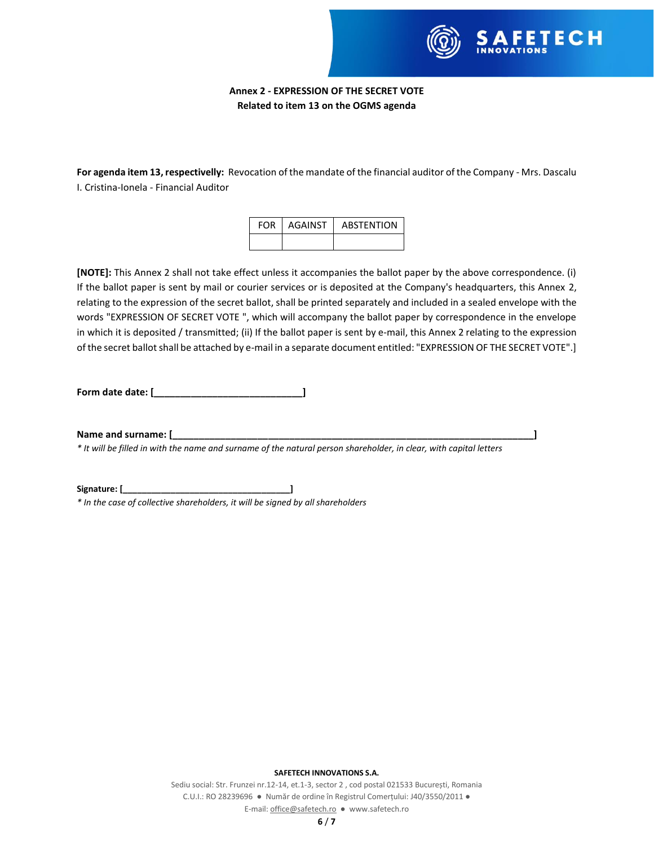

## **Annex 2 - EXPRESSION OF THE SECRET VOTE Related to item 13 on the OGMS agenda**

**For agenda item 13, respectivelly:** Revocation of the mandate of the financial auditor of the Company - Mrs. Dascalu I. Cristina-Ionela - Financial Auditor

| <b>FOR</b> | AGAINST | <b>ABSTENTION</b> |
|------------|---------|-------------------|
|            |         |                   |

**[NOTE]:** This Annex 2 shall not take effect unless it accompanies the ballot paper by the above correspondence. (i) If the ballot paper is sent by mail or courier services or is deposited at the Company's headquarters, this Annex 2, relating to the expression of the secret ballot, shall be printed separately and included in a sealed envelope with the words "EXPRESSION OF SECRET VOTE ", which will accompany the ballot paper by correspondence in the envelope in which it is deposited / transmitted; (ii) If the ballot paper is sent by e-mail, this Annex 2 relating to the expression of the secret ballot shall be attached by e-mail in a separate document entitled: "EXPRESSION OF THE SECRET VOTE".]

**Form date date: [\_\_\_\_\_\_\_\_\_\_\_\_\_\_\_\_\_\_\_\_\_\_\_\_\_\_\_\_]**

**Name and surname: [\_\_\_\_\_\_\_\_\_\_\_\_\_\_\_\_\_\_\_\_\_\_\_\_\_\_\_\_\_\_\_\_\_\_\_\_\_\_\_\_\_\_\_\_\_\_\_\_\_\_\_\_\_\_\_\_\_\_\_\_\_\_\_\_\_\_\_\_]**

*\* It will be filled in with the name and surname of the natural person shareholder, in clear, with capital letters*

**Signature: [\_\_\_\_\_\_\_\_\_\_\_\_\_\_\_\_\_\_\_\_\_\_\_\_\_\_\_\_\_\_\_\_\_\_\_]**

*\* In the case of collective shareholders, it will be signed by all shareholders*

**SAFETECH INNOVATIONS S.A.**